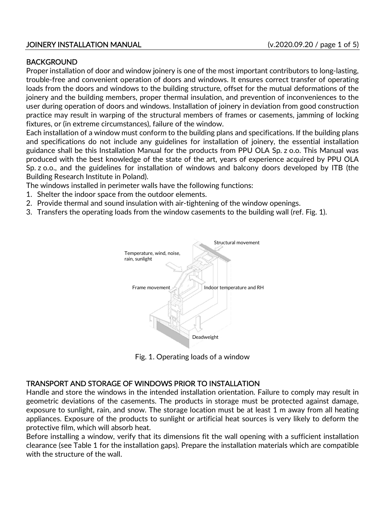## JOINERY INSTALLATION MANUAL (v.2020.09.20 / page 1 of 5)

## **BACKGROUND**

Proper installation of door and window joinery is one of the most important contributors to long-lasting, trouble-free and convenient operation of doors and windows. It ensures correct transfer of operating loads from the doors and windows to the building structure, offset for the mutual deformations of the joinery and the building members, proper thermal insulation, and prevention of inconveniences to the user during operation of doors and windows. Installation of joinery in deviation from good construction practice may result in warping of the structural members of frames or casements, jamming of locking fixtures, or (in extreme circumstances), failure of the window.

Each installation of a window must conform to the building plans and specifications. If the building plans and specifications do not include any guidelines for installation of joinery, the essential installation guidance shall be this Installation Manual for the products from PPU OLA Sp. z o.o. This Manual was produced with the best knowledge of the state of the art, years of experience acquired by PPU OLA Sp. z o.o., and the guidelines for installation of windows and balcony doors developed by ITB (the Building Research Institute in Poland).

The windows installed in perimeter walls have the following functions:

- 1. Shelter the indoor space from the outdoor elements.
- 2. Provide thermal and sound insulation with air-tightening of the window openings.
- 3. Transfers the operating loads from the window casements to the building wall (ref. Fig. 1).



Fig. 1. Operating loads of a window

# TRANSPORT AND STORAGE OF WINDOWS PRIOR TO INSTALLATION

Handle and store the windows in the intended installation orientation. Failure to comply may result in geometric deviations of the casements. The products in storage must be protected against damage, exposure to sunlight, rain, and snow. The storage location must be at least 1 m away from all heating appliances. Exposure of the products to sunlight or artificial heat sources is very likely to deform the protective film, which will absorb heat.

Before installing a window, verify that its dimensions fit the wall opening with a sufficient installation clearance (see Table 1 for the installation gaps). Prepare the installation materials which are compatible with the structure of the wall.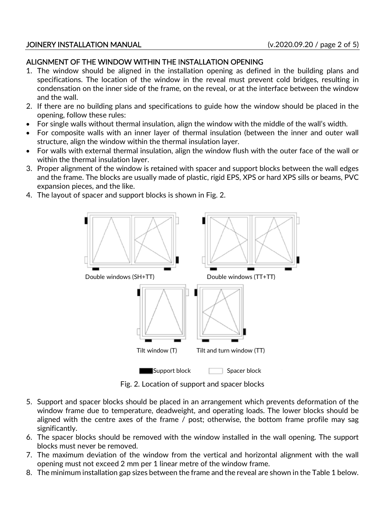### JOINERY INSTALLATION MANUAL (v.2020.09.20 / page 2 of 5)

# ALIGNMENT OF THE WINDOW WITHIN THE INSTALLATION OPENING

- 1. The window should be aligned in the installation opening as defined in the building plans and specifications. The location of the window in the reveal must prevent cold bridges, resulting in condensation on the inner side of the frame, on the reveal, or at the interface between the window and the wall.
- 2. If there are no building plans and specifications to guide how the window should be placed in the opening, follow these rules:
- For single walls without thermal insulation, align the window with the middle of the wall's width.
- For composite walls with an inner layer of thermal insulation (between the inner and outer wall structure, align the window within the thermal insulation layer.
- For walls with external thermal insulation, align the window flush with the outer face of the wall or within the thermal insulation layer.
- 3. Proper alignment of the window is retained with spacer and support blocks between the wall edges and the frame. The blocks are usually made of plastic, rigid EPS, XPS or hard XPS sills or beams, PVC expansion pieces, and the like.
- 4. The layout of spacer and support blocks is shown in Fig. 2.



Fig. 2. Location of support and spacer blocks

- 5. Support and spacer blocks should be placed in an arrangement which prevents deformation of the window frame due to temperature, deadweight, and operating loads. The lower blocks should be aligned with the centre axes of the frame / post; otherwise, the bottom frame profile may sag significantly.
- 6. The spacer blocks should be removed with the window installed in the wall opening. The support blocks must never be removed.
- 7. The maximum deviation of the window from the vertical and horizontal alignment with the wall opening must not exceed 2 mm per 1 linear metre of the window frame.
- 8. The minimum installation gap sizes between the frame and the reveal are shown in the Table 1 below.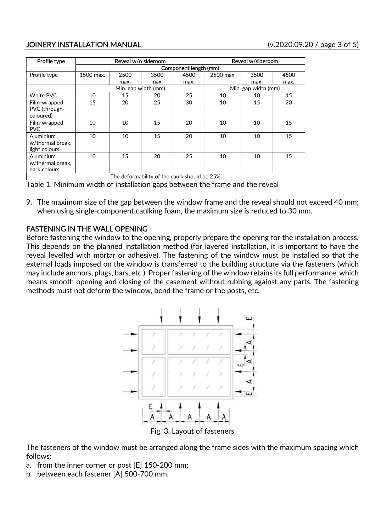# JOINERY INSTALLATION MANUAL (v.2020.09.20 / page 3 of 5)

| Profile type                                 | Reveal w/o sideroom   |      |      |      | Reveal w/sideroom   |      |      |
|----------------------------------------------|-----------------------|------|------|------|---------------------|------|------|
|                                              | Component length (mm) |      |      |      |                     |      |      |
| Profile type                                 | 1500 max.             | 2500 | 3500 | 4500 | 2500 max.           | 3500 | 4500 |
|                                              |                       | max. | max. | max. |                     | max. | max. |
|                                              | Min. gap width (mm)   |      |      |      | Min. gap width (mm) |      |      |
| White PVC                                    | 10                    | 15   | 20   | 25   | 10                  | 10   | 15   |
| Film-wrapped                                 | 15                    | 20   | 25   | 30   | 10                  | 15   | 20   |
| PVC (through-                                |                       |      |      |      |                     |      |      |
| coloured)                                    |                       |      |      |      |                     |      |      |
| Film-wrapped                                 | 10                    | 10   | 15   | 20   | 10                  | 10   | 15   |
| <b>PVC</b>                                   |                       |      |      |      |                     |      |      |
| Aluminium                                    | 10                    | 10   | 15   | 20   | 10                  | 10   | 15   |
| w/thermal break.                             |                       |      |      |      |                     |      |      |
| light colours                                |                       |      |      |      |                     |      |      |
| Aluminium                                    | 10                    | 15   | 20   | 25   | 10                  | 10   | 15   |
| w/thermal break.                             |                       |      |      |      |                     |      |      |
| dark colours                                 |                       |      |      |      |                     |      |      |
| The deformability of the caulk should be 25% |                       |      |      |      |                     |      |      |

Table 1. Minimum width of installation gaps between the frame and the reveal

9. The maximum size of the gap between the window frame and the reveal should not exceed 40 mm; when using single-component caulking foam, the maximum size is reduced to 30 mm.

# FASTENING IN THE WALL OPENING

Before fastening the window to the opening, properly prepare the opening for the installation process. This depends on the planned installation method (for layered installation, it is important to have the reveal levelled with mortar or adhesive). The fastening of the window must be installed so that the external loads imposed on the window is transferred to the building structure via the fasteners (which may include anchors, plugs, bars, etc.). Proper fastening of the window retains its full performance, which means smooth opening and closing of the casement without rubbing against any parts. The fastening methods must not deform the window, bend the frame or the posts, etc.



The fasteners of the window must be arranged along the frame sides with the maximum spacing which follows:

- a. from the inner corner or post [E] 150-200 mm;
- b. between each fastener [A] 500-700 mm.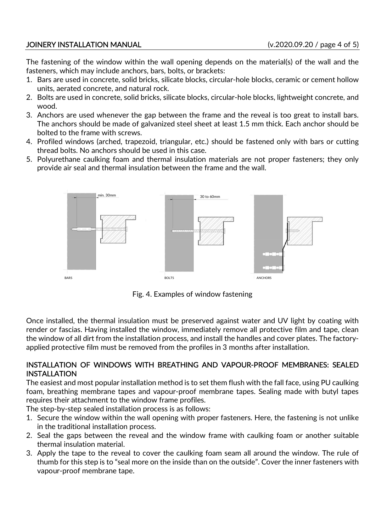# JOINERY INSTALLATION MANUAL (v.2020.09.20 / page 4 of 5)

The fastening of the window within the wall opening depends on the material(s) of the wall and the fasteners, which may include anchors, bars, bolts, or brackets:

- 1. Bars are used in concrete, solid bricks, silicate blocks, circular-hole blocks, ceramic or cement hollow units, aerated concrete, and natural rock.
- 2. Bolts are used in concrete, solid bricks, silicate blocks, circular-hole blocks, lightweight concrete, and wood.
- 3. Anchors are used whenever the gap between the frame and the reveal is too great to install bars. The anchors should be made of galvanized steel sheet at least 1.5 mm thick. Each anchor should be bolted to the frame with screws.
- 4. Profiled windows (arched, trapezoid, triangular, etc.) should be fastened only with bars or cutting thread bolts. No anchors should be used in this case.
- 5. Polyurethane caulking foam and thermal insulation materials are not proper fasteners; they only provide air seal and thermal insulation between the frame and the wall.



Fig. 4. Examples of window fastening

Once installed, the thermal insulation must be preserved against water and UV light by coating with render or fascias. Having installed the window, immediately remove all protective film and tape, clean the window of all dirt from the installation process, and install the handles and cover plates. The factoryapplied protective film must be removed from the profiles in 3 months after installation.

# INSTALLATION OF WINDOWS WITH BREATHING AND VAPOUR-PROOF MEMBRANES: SEALED INSTALLATION

The easiest and most popular installation method is to set them flush with the fall face, using PU caulking foam, breathing membrane tapes and vapour-proof membrane tapes. Sealing made with butyl tapes requires their attachment to the window frame profiles.

The step-by-step sealed installation process is as follows:

- 1. Secure the window within the wall opening with proper fasteners. Here, the fastening is not unlike in the traditional installation process.
- 2. Seal the gaps between the reveal and the window frame with caulking foam or another suitable thermal insulation material.
- 3. Apply the tape to the reveal to cover the caulking foam seam all around the window. The rule of thumb for this step is to "seal more on the inside than on the outside". Cover the inner fasteners with vapour-proof membrane tape.